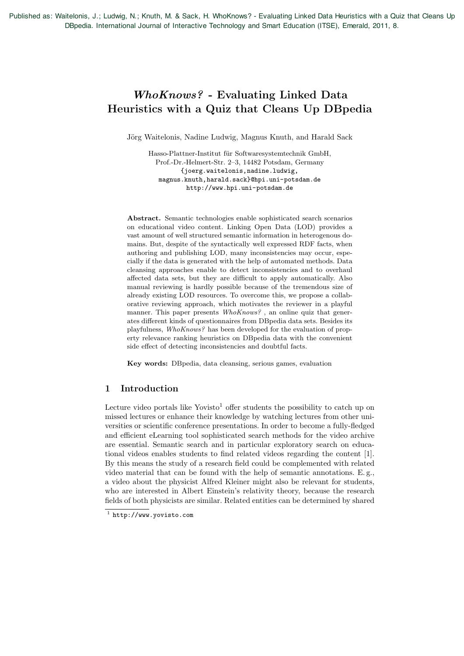Published as: Waitelonis, J.; Ludwig, N.; Knuth, M. & Sack, H. WhoKnows? - Evaluating Linked Data Heuristics with a Quiz that Cleans Up DBpedia. International Journal of Interactive Technology and Smart Education (ITSE), Emerald, 2011, 8.

# *WhoKnows?* - Evaluating Linked Data Heuristics with a Quiz that Cleans Up DBpedia

Jörg Waitelonis, Nadine Ludwig, Magnus Knuth, and Harald Sack

Hasso-Plattner-Institut für Softwaresystemtechnik GmbH, Prof.-Dr.-Helmert-Str. 2–3, 14482 Potsdam, Germany {joerg.waitelonis,nadine.ludwig, magnus.knuth,harald.sack}@hpi.uni-potsdam.de http://www.hpi.uni-potsdam.de

Abstract. Semantic technologies enable sophisticated search scenarios on educational video content. Linking Open Data (LOD) provides a vast amount of well structured semantic information in heterogenous domains. But, despite of the syntactically well expressed RDF facts, when authoring and publishing LOD, many inconsistencies may occur, especially if the data is generated with the help of automated methods. Data cleansing approaches enable to detect inconsistencies and to overhaul affected data sets, but they are difficult to apply automatically. Also manual reviewing is hardly possible because of the tremendous size of already existing LOD resources. To overcome this, we propose a collaborative reviewing approach, which motivates the reviewer in a playful manner. This paper presents *WhoKnows?* , an online quiz that generates different kinds of questionnaires from DBpedia data sets. Besides its playfulness, *WhoKnows?* has been developed for the evaluation of property relevance ranking heuristics on DBpedia data with the convenient side effect of detecting inconsistencies and doubtful facts.

Key words: DBpedia, data cleansing, serious games, evaluation

## 1 Introduction

Lecture video portals like Yovisto<sup>1</sup> offer students the possibility to catch up on missed lectures or enhance their knowledge by watching lectures from other universities or scientific conference presentations. In order to become a fully-fledged and efficient eLearning tool sophisticated search methods for the video archive are essential. Semantic search and in particular exploratory search on educational videos enables students to find related videos regarding the content [1]. By this means the study of a research field could be complemented with related video material that can be found with the help of semantic annotations. E. g., a video about the physicist Alfred Kleiner might also be relevant for students, who are interested in Albert Einstein's relativity theory, because the research fields of both physicists are similar. Related entities can be determined by shared

 $1$  http://www.yovisto.com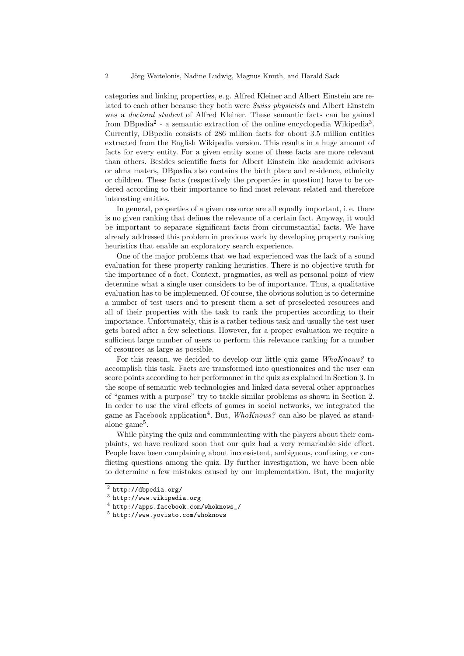categories and linking properties, e. g. Alfred Kleiner and Albert Einstein are related to each other because they both were *Swiss physicists* and Albert Einstein was a *doctoral student* of Alfred Kleiner. These semantic facts can be gained from DBpedia<sup>2</sup> - a semantic extraction of the online encyclopedia Wikipedia<sup>3</sup>. Currently, DBpedia consists of 286 million facts for about 3.5 million entities extracted from the English Wikipedia version. This results in a huge amount of facts for every entity. For a given entity some of these facts are more relevant than others. Besides scientific facts for Albert Einstein like academic advisors or alma maters, DBpedia also contains the birth place and residence, ethnicity or children. These facts (respectively the properties in question) have to be ordered according to their importance to find most relevant related and therefore interesting entities.

In general, properties of a given resource are all equally important, i. e. there is no given ranking that defines the relevance of a certain fact. Anyway, it would be important to separate significant facts from circumstantial facts. We have already addressed this problem in previous work by developing property ranking heuristics that enable an exploratory search experience.

One of the major problems that we had experienced was the lack of a sound evaluation for these property ranking heuristics. There is no objective truth for the importance of a fact. Context, pragmatics, as well as personal point of view determine what a single user considers to be of importance. Thus, a qualitative evaluation has to be implemented. Of course, the obvious solution is to determine a number of test users and to present them a set of preselected resources and all of their properties with the task to rank the properties according to their importance. Unfortunately, this is a rather tedious task and usually the test user gets bored after a few selections. However, for a proper evaluation we require a sufficient large number of users to perform this relevance ranking for a number of resources as large as possible.

For this reason, we decided to develop our little quiz game *WhoKnows?* to accomplish this task. Facts are transformed into questionaires and the user can score points according to her performance in the quiz as explained in Section 3. In the scope of semantic web technologies and linked data several other approaches of "games with a purpose" try to tackle similar problems as shown in Section 2. In order to use the viral effects of games in social networks, we integrated the game as Facebook application<sup>4</sup>. But, *WhoKnows?* can also be played as standalone game $<sup>5</sup>$ .</sup>

While playing the quiz and communicating with the players about their complaints, we have realized soon that our quiz had a very remarkable side effect. People have been complaining about inconsistent, ambiguous, confusing, or conflicting questions among the quiz. By further investigation, we have been able to determine a few mistakes caused by our implementation. But, the majority

 $\sqrt{2 \text{ http://dbpedia.org/}}$ 

<sup>3</sup> http://www.wikipedia.org

<sup>4</sup> http://apps.facebook.com/whoknows\_/

<sup>5</sup> http://www.yovisto.com/whoknows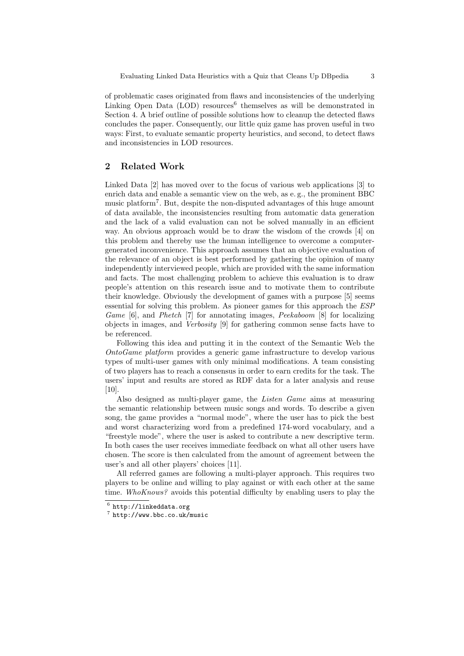of problematic cases originated from flaws and inconsistencies of the underlying Linking Open Data  $(LOD)$  resources<sup>6</sup> themselves as will be demonstrated in Section 4. A brief outline of possible solutions how to cleanup the detected flaws concludes the paper. Consequently, our little quiz game has proven useful in two ways: First, to evaluate semantic property heuristics, and second, to detect flaws and inconsistencies in LOD resources.

# 2 Related Work

Linked Data [2] has moved over to the focus of various web applications [3] to enrich data and enable a semantic view on the web, as e. g., the prominent BBC music platform7. But, despite the non-disputed advantages of this huge amount of data available, the inconsistencies resulting from automatic data generation and the lack of a valid evaluation can not be solved manually in an efficient way. An obvious approach would be to draw the wisdom of the crowds [4] on this problem and thereby use the human intelligence to overcome a computergenerated inconvenience. This approach assumes that an objective evaluation of the relevance of an object is best performed by gathering the opinion of many independently interviewed people, which are provided with the same information and facts. The most challenging problem to achieve this evaluation is to draw people's attention on this research issue and to motivate them to contribute their knowledge. Obviously the development of games with a purpose [5] seems essential for solving this problem. As pioneer games for this approach the *ESP Game* [6], and *Phetch* [7] for annotating images, *Peekaboom* [8] for localizing objects in images, and *Verbosity* [9] for gathering common sense facts have to be referenced.

Following this idea and putting it in the context of the Semantic Web the *OntoGame platform* provides a generic game infrastructure to develop various types of multi-user games with only minimal modifications. A team consisting of two players has to reach a consensus in order to earn credits for the task. The users' input and results are stored as RDF data for a later analysis and reuse [10].

Also designed as multi-player game, the *Listen Game* aims at measuring the semantic relationship between music songs and words. To describe a given song, the game provides a "normal mode", where the user has to pick the best and worst characterizing word from a predefined 174-word vocabulary, and a "freestyle mode", where the user is asked to contribute a new descriptive term. In both cases the user receives immediate feedback on what all other users have chosen. The score is then calculated from the amount of agreement between the user's and all other players' choices [11].

All referred games are following a multi-player approach. This requires two players to be online and willing to play against or with each other at the same time. *WhoKnows?* avoids this potential difficulty by enabling users to play the

 $6$  http://linkeddata.org

<sup>7</sup> http://www.bbc.co.uk/music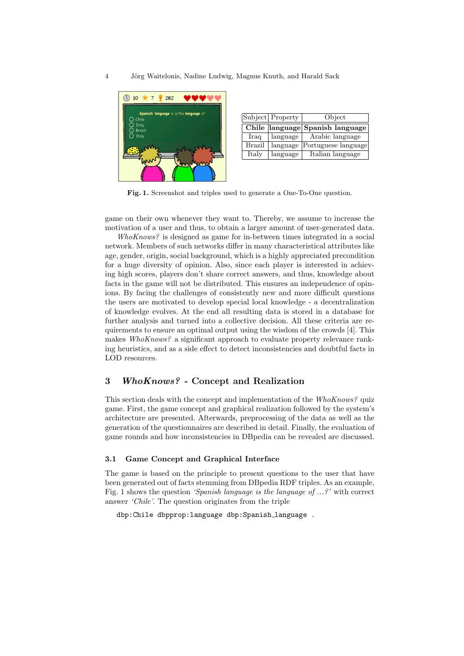

|        | Subject Property | Object                          |
|--------|------------------|---------------------------------|
|        |                  | Chile language Spanish language |
| Iraq   | language         | Arabic language                 |
| Brazil | language         | Portuguese language             |
| Italy  | language         | Italian language                |

Fig. 1. Screenshot and triples used to generate a One-To-One question.

game on their own whenever they want to. Thereby, we assume to increase the motivation of a user and thus, to obtain a larger amount of user-generated data.

*WhoKnows?* is designed as game for in-between times integrated in a social network. Members of such networks differ in many characteristical attributes like age, gender, origin, social background, which is a highly appreciated precondition for a huge diversity of opinion. Also, since each player is interested in achieving high scores, players don't share correct answers, and thus, knowledge about facts in the game will not be distributed. This ensures an independence of opinions. By facing the challenges of consistently new and more difficult questions the users are motivated to develop special local knowledge - a decentralization of knowledge evolves. At the end all resulting data is stored in a database for further analysis and turned into a collective decision. All these criteria are requirements to ensure an optimal output using the wisdom of the crowds [4]. This makes *WhoKnows?* a significant approach to evaluate property relevance ranking heuristics, and as a side effect to detect inconsistencies and doubtful facts in LOD resources.

# 3 *WhoKnows?* - Concept and Realization

This section deals with the concept and implementation of the *WhoKnows?* quiz game. First, the game concept and graphical realization followed by the system's architecture are presented. Afterwards, preprocessing of the data as well as the generation of the questionnaires are described in detail. Finally, the evaluation of game rounds and how inconsistencies in DBpedia can be revealed are discussed.

#### 3.1 Game Concept and Graphical Interface

The game is based on the principle to present questions to the user that have been generated out of facts stemming from DBpedia RDF triples. As an example, Fig. 1 shows the question *'Spanish language is the language of ...?'* with correct answer *'Chile'*. The question originates from the triple

dbp:Chile dbpprop:language dbp:Spanish language .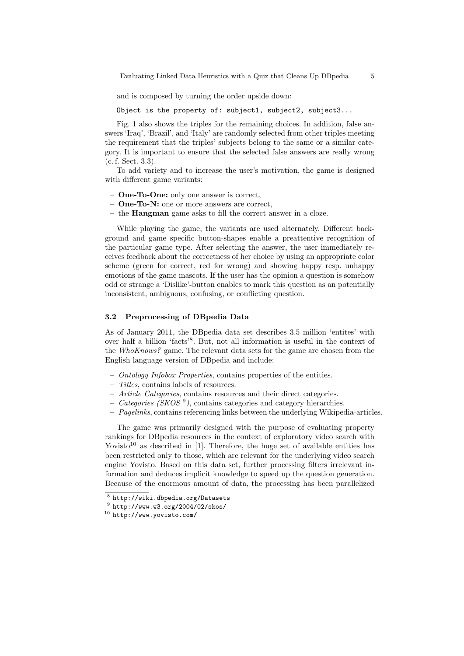and is composed by turning the order upside down:

Object is the property of: subject1, subject2, subject3...

Fig. 1 also shows the triples for the remaining choices. In addition, false answers 'Iraq', 'Brazil', and 'Italy' are randomly selected from other triples meeting the requirement that the triples' subjects belong to the same or a similar category. It is important to ensure that the selected false answers are really wrong (c. f. Sect. 3.3).

To add variety and to increase the user's motivation, the game is designed with different game variants:

- One-To-One: only one answer is correct,
- One-To-N: one or more answers are correct,
- the Hangman game asks to fill the correct answer in a cloze.

While playing the game, the variants are used alternately. Different background and game specific button-shapes enable a preattentive recognition of the particular game type. After selecting the answer, the user immediately receives feedback about the correctness of her choice by using an appropriate color scheme (green for correct, red for wrong) and showing happy resp. unhappy emotions of the game mascots. If the user has the opinion a question is somehow odd or strange a 'Dislike'-button enables to mark this question as an potentially inconsistent, ambiguous, confusing, or conflicting question.

#### 3.2 Preprocessing of DBpedia Data

As of January 2011, the DBpedia data set describes 3.5 million 'entites' with over half a billion 'facts'<sup>8</sup>. But, not all information is useful in the context of the *WhoKnows?* game. The relevant data sets for the game are chosen from the English language version of DBpedia and include:

- *Ontology Infobox Properties*, contains properties of the entities.
- *Titles*, contains labels of resources.
- *Article Categories*, contains resources and their direct categories.
- *Categories (SKOS* <sup>9</sup>*)*, contains categories and category hierarchies.
- *Pagelinks*, contains referencing links between the underlying Wikipedia-articles.

The game was primarily designed with the purpose of evaluating property rankings for DBpedia resources in the context of exploratory video search with Yovisto<sup>10</sup> as described in [1]. Therefore, the huge set of available entities has been restricted only to those, which are relevant for the underlying video search engine Yovisto. Based on this data set, further processing filters irrelevant information and deduces implicit knowledge to speed up the question generation. Because of the enormous amount of data, the processing has been parallelized

<sup>8</sup> http://wiki.dbpedia.org/Datasets

<sup>9</sup> http://www.w3.org/2004/02/skos/

<sup>10</sup> http://www.yovisto.com/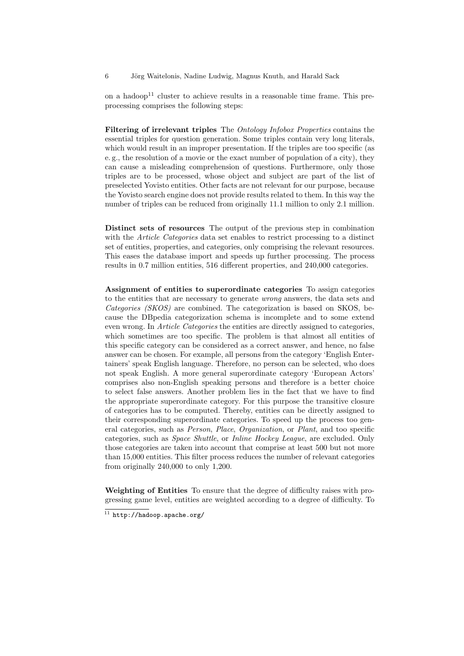on a hadoop<sup>11</sup> cluster to achieve results in a reasonable time frame. This preprocessing comprises the following steps:

Filtering of irrelevant triples The *Ontology Infobox Properties* contains the essential triples for question generation. Some triples contain very long literals, which would result in an improper presentation. If the triples are too specific (as e. g., the resolution of a movie or the exact number of population of a city), they can cause a misleading comprehension of questions. Furthermore, only those triples are to be processed, whose object and subject are part of the list of preselected Yovisto entities. Other facts are not relevant for our purpose, because the Yovisto search engine does not provide results related to them. In this way the number of triples can be reduced from originally 11.1 million to only 2.1 million.

Distinct sets of resources The output of the previous step in combination with the *Article Categories* data set enables to restrict processing to a distinct set of entities, properties, and categories, only comprising the relevant resources. This eases the database import and speeds up further processing. The process results in 0.7 million entities, 516 different properties, and 240,000 categories.

Assignment of entities to superordinate categories To assign categories to the entities that are necessary to generate *wrong* answers, the data sets and *Categories (SKOS)* are combined. The categorization is based on SKOS, because the DBpedia categorization schema is incomplete and to some extend even wrong. In *Article Categories* the entities are directly assigned to categories, which sometimes are too specific. The problem is that almost all entities of this specific category can be considered as a correct answer, and hence, no false answer can be chosen. For example, all persons from the category 'English Entertainers' speak English language. Therefore, no person can be selected, who does not speak English. A more general superordinate category 'European Actors' comprises also non-English speaking persons and therefore is a better choice to select false answers. Another problem lies in the fact that we have to find the appropriate superordinate category. For this purpose the transitive closure of categories has to be computed. Thereby, entities can be directly assigned to their corresponding superordinate categories. To speed up the process too general categories, such as *Person*, *Place*, *Organization*, or *Plant*, and too specific categories, such as *Space Shuttle*, or *Inline Hockey League*, are excluded. Only those categories are taken into account that comprise at least 500 but not more than 15,000 entities. This filter process reduces the number of relevant categories from originally 240,000 to only 1,200.

Weighting of Entities To ensure that the degree of difficulty raises with progressing game level, entities are weighted according to a degree of difficulty. To

 $11$  http://hadoop.apache.org/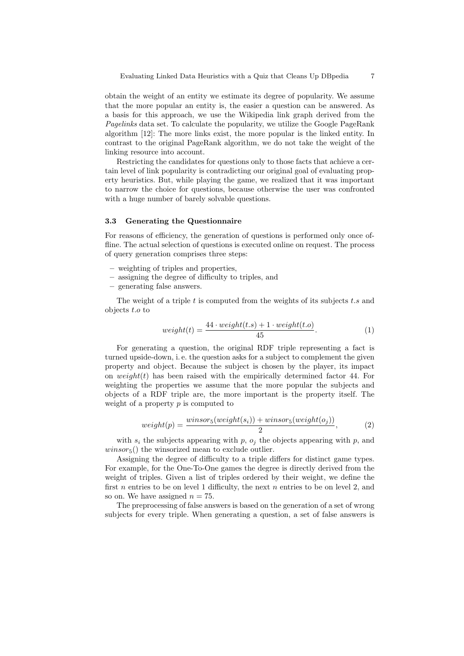obtain the weight of an entity we estimate its degree of popularity. We assume that the more popular an entity is, the easier a question can be answered. As a basis for this approach, we use the Wikipedia link graph derived from the *Pagelinks* data set. To calculate the popularity, we utilize the Google PageRank algorithm [12]: The more links exist, the more popular is the linked entity. In contrast to the original PageRank algorithm, we do not take the weight of the linking resource into account.

Restricting the candidates for questions only to those facts that achieve a certain level of link popularity is contradicting our original goal of evaluating property heuristics. But, while playing the game, we realized that it was important to narrow the choice for questions, because otherwise the user was confronted with a huge number of barely solvable questions.

#### 3.3 Generating the Questionnaire

For reasons of efficiency, the generation of questions is performed only once offline. The actual selection of questions is executed online on request. The process of query generation comprises three steps:

- weighting of triples and properties,
- assigning the degree of difficulty to triples, and
- generating false answers.

The weight of a triple *t* is computed from the weights of its subjects *t.s* and objects *t.o* to

$$
weight(t) = \frac{44 \cdot weight(t.s) + 1 \cdot weight(t.o)}{45}.
$$
 (1)

For generating a question, the original RDF triple representing a fact is turned upside-down, i. e. the question asks for a subject to complement the given property and object. Because the subject is chosen by the player, its impact on  $weight(t)$  has been raised with the empirically determined factor 44. For weighting the properties we assume that the more popular the subjects and objects of a RDF triple are, the more important is the property itself. The weight of a property *p* is computed to

$$
weight(p) = \frac{winsors(weight(s_i)) + winsors(weight(o_j))}{2},
$$
\n(2)

with  $s_i$  the subjects appearing with  $p$ ,  $o_j$  the objects appearing with  $p$ , and *winsor*<sub>5</sub>() the winsorized mean to exclude outlier.

Assigning the degree of difficulty to a triple differs for distinct game types. For example, for the One-To-One games the degree is directly derived from the weight of triples. Given a list of triples ordered by their weight, we define the first *n* entries to be on level 1 difficulty, the next *n* entries to be on level 2, and so on. We have assigned  $n = 75$ .

The preprocessing of false answers is based on the generation of a set of wrong subjects for every triple. When generating a question, a set of false answers is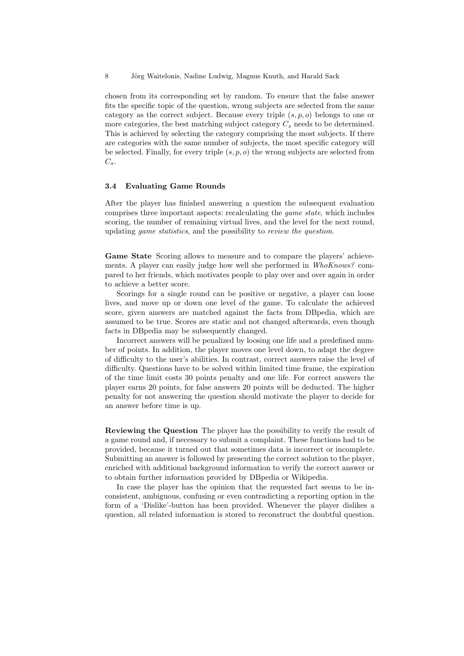8 Jörg Waitelonis, Nadine Ludwig, Magnus Knuth, and Harald Sack

chosen from its corresponding set by random. To ensure that the false answer fits the specific topic of the question, wrong subjects are selected from the same category as the correct subject. Because every triple (*s, p, o*) belongs to one or more categories, the best matching subject category  $C_s$  needs to be determined. This is achieved by selecting the category comprising the most subjects. If there are categories with the same number of subjects, the most specific category will be selected. Finally, for every triple (*s, p, o*) the wrong subjects are selected from *Cs*.

#### 3.4 Evaluating Game Rounds

After the player has finished answering a question the subsequent evaluation comprises three important aspects: recalculating the *game state*, which includes scoring, the number of remaining virtual lives, and the level for the next round, updating *game statistics*, and the possibility to *review the question*.

Game State Scoring allows to measure and to compare the players' achievements. A player can easily judge how well she performed in *WhoKnows?* compared to her friends, which motivates people to play over and over again in order to achieve a better score.

Scorings for a single round can be positive or negative, a player can loose lives, and move up or down one level of the game. To calculate the achieved score, given answers are matched against the facts from DBpedia, which are assumed to be true. Scores are static and not changed afterwards, even though facts in DBpedia may be subsequently changed.

Incorrect answers will be penalized by loosing one life and a predefined number of points. In addition, the player moves one level down, to adapt the degree of difficulty to the user's abilities. In contrast, correct answers raise the level of difficulty. Questions have to be solved within limited time frame, the expiration of the time limit costs 30 points penalty and one life. For correct answers the player earns 20 points, for false answers 20 points will be deducted. The higher penalty for not answering the question should motivate the player to decide for an answer before time is up.

Reviewing the Question The player has the possibility to verify the result of a game round and, if necessary to submit a complaint. These functions had to be provided, because it turned out that sometimes data is incorrect or incomplete. Submitting an answer is followed by presenting the correct solution to the player, enriched with additional background information to verify the correct answer or to obtain further information provided by DBpedia or Wikipedia.

In case the player has the opinion that the requested fact seems to be inconsistent, ambiguous, confusing or even contradicting a reporting option in the form of a 'Dislike'-button has been provided. Whenever the player dislikes a question, all related information is stored to reconstruct the doubtful question.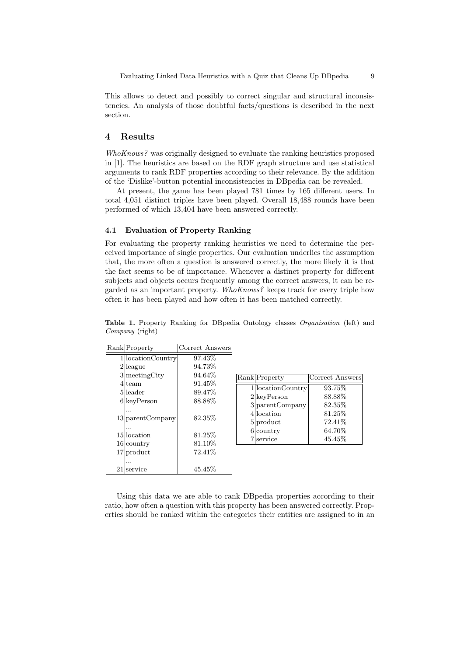Evaluating Linked Data Heuristics with a Quiz that Cleans Up DBpedia 9

This allows to detect and possibly to correct singular and structural inconsistencies. An analysis of those doubtful facts/questions is described in the next section.

# 4 Results

*WhoKnows?* was originally designed to evaluate the ranking heuristics proposed in [1]. The heuristics are based on the RDF graph structure and use statistical arguments to rank RDF properties according to their relevance. By the addition of the 'Dislike'-button potential inconsistencies in DBpedia can be revealed.

At present, the game has been played 781 times by 165 different users. In total 4,051 distinct triples have been played. Overall 18,488 rounds have been performed of which 13,404 have been answered correctly.

#### 4.1 Evaluation of Property Ranking

For evaluating the property ranking heuristics we need to determine the perceived importance of single properties. Our evaluation underlies the assumption that, the more often a question is answered correctly, the more likely it is that the fact seems to be of importance. Whenever a distinct property for different subjects and objects occurs frequently among the correct answers, it can be regarded as an important property. *WhoKnows?* keeps track for every triple how often it has been played and how often it has been matched correctly.

| Rank Property                       | Correct Answers |                   |                 |
|-------------------------------------|-----------------|-------------------|-----------------|
| 1 locationCountry                   | 97.43\%         |                   |                 |
| $2$  league                         | 94.73%          |                   |                 |
| $3$ meeting City                    | 94.64\%         | Rank Property     | Correct Answers |
| 4 team                              | 91.45\%         | 1 locationCountry | 93.75%          |
| 5leader                             | 89.47%          | $2$  keyPerson    | 88.88%          |
| 88.88%<br>$6$ <sub>key</sub> Person | 3 parentCompany | 82.35\%           |                 |
| $\ddotsc$                           |                 | 4 location        | 81.25%          |
| $13$ parent Company                 | 82.35%          | 5 product         | 72.41\%         |
| <br>15 location                     | 81.25\%         | $6$ country       | 64.70%          |
|                                     | 81.10\%         | 7 service         | 45.45%          |
| $16$  country<br>$17$ product       | 72.41\%         |                   |                 |
|                                     |                 |                   |                 |
| .<br>21 service                     | 45.45\%         |                   |                 |

Table 1. Property Ranking for DBpedia Ontology classes *Organisation* (left) and *Company* (right)

Using this data we are able to rank DBpedia properties according to their ratio, how often a question with this property has been answered correctly. Properties should be ranked within the categories their entities are assigned to in an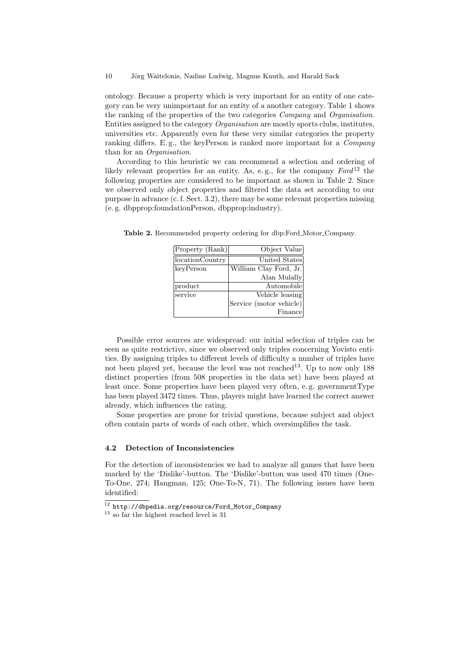ontology. Because a property which is very important for an entity of one category can be very unimportant for an entity of a another category. Table 1 shows the ranking of the properties of the two categories *Company* and *Organisation*. Entities assigned to the category *Organisation* are mostly sports clubs, institutes, universities etc. Apparently even for these very similar categories the property ranking differs. E. g., the keyPerson is ranked more important for a *Company* than for an *Organisation*.

According to this heuristic we can recommend a selection and ordering of likely relevant properties for an entity. As, e.g., for the company  $Ford<sup>12</sup>$  the following properties are considered to be important as shown in Table 2. Since we observed only object properties and filtered the data set according to our purpose in advance (c. f. Sect. 3.2), there may be some relevant properties missing (e. g. dbpprop:foundationPerson, dbpprop:industry).

| Property (Rank) | Object Value            |
|-----------------|-------------------------|
| locationCountry | United States           |
| keyPerson       | William Clay Ford, Jr.  |
|                 | Alan Mulally            |
| product         | Automobile              |
| service         | Vehicle leasing         |
|                 | Service (motor vehicle) |
|                 | Finance                 |

Table 2. Recommended property ordering for dbp:Ford Motor Company.

Possible error sources are widespread: our initial selection of triples can be seen as quite restrictive, since we observed only triples concerning Yovisto entities. By assigning triples to different levels of difficulty a number of triples have not been played yet, because the level was not reached<sup>13</sup>. Up to now only 188 distinct properties (from 508 properties in the data set) have been played at least once. Some properties have been played very often, e. g. governmentType has been played 3472 times. Thus, players might have learned the correct answer already, which influences the rating.

Some properties are prone for trivial questions, because subject and object often contain parts of words of each other, which oversimplifies the task.

## 4.2 Detection of Inconsistencies

For the detection of inconsistencies we had to analyze all games that have been marked by the 'Dislike'-button. The 'Dislike'-button was used 470 times (One-To-One, 274; Hangman, 125; One-To-N, 71). The following issues have been identified:

<sup>12</sup> http://dbpedia.org/resource/Ford\_Motor\_Company

 $^{13}$  so far the highest reached level is  $31\,$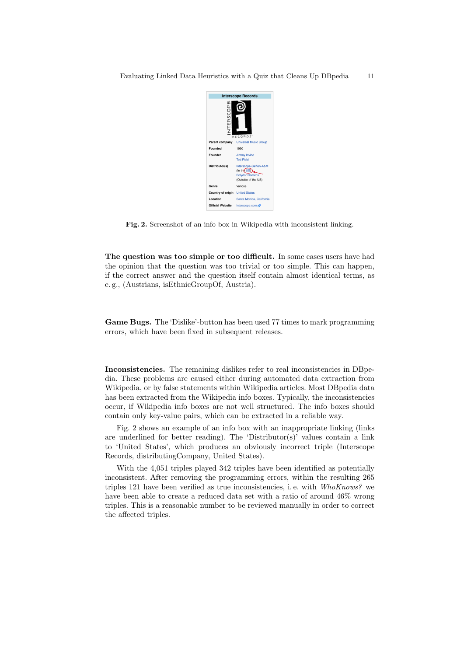

Fig. 2. Screenshot of an info box in Wikipedia with inconsistent linking.

The question was too simple or too difficult. In some cases users have had the opinion that the question was too trivial or too simple. This can happen, if the correct answer and the question itself contain almost identical terms, as e. g., (Austrians, isEthnicGroupOf, Austria).

Game Bugs. The 'Dislike'-button has been used 77 times to mark programming errors, which have been fixed in subsequent releases.

Inconsistencies. The remaining dislikes refer to real inconsistencies in DBpedia. These problems are caused either during automated data extraction from Wikipedia, or by false statements within Wikipedia articles. Most DBpedia data has been extracted from the Wikipedia info boxes. Typically, the inconsistencies occur, if Wikipedia info boxes are not well structured. The info boxes should contain only key-value pairs, which can be extracted in a reliable way.

Fig. 2 shows an example of an info box with an inappropriate linking (links are underlined for better reading). The 'Distributor(s)' values contain a link to 'United States', which produces an obviously incorrect triple (Interscope Records, distributingCompany, United States).

With the 4,051 triples played 342 triples have been identified as potentially inconsistent. After removing the programming errors, within the resulting 265 triples 121 have been verified as true inconsistencies, i. e. with *WhoKnows?* we have been able to create a reduced data set with a ratio of around  $46\%$  wrong triples. This is a reasonable number to be reviewed manually in order to correct the affected triples.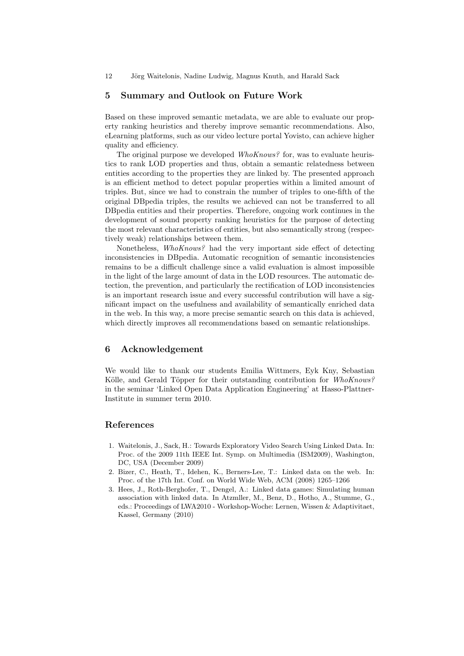12 Jörg Waitelonis, Nadine Ludwig, Magnus Knuth, and Harald Sack

#### 5 Summary and Outlook on Future Work

Based on these improved semantic metadata, we are able to evaluate our property ranking heuristics and thereby improve semantic recommendations. Also, eLearning platforms, such as our video lecture portal Yovisto, can achieve higher quality and efficiency.

The original purpose we developed *WhoKnows?* for, was to evaluate heuristics to rank LOD properties and thus, obtain a semantic relatedness between entities according to the properties they are linked by. The presented approach is an efficient method to detect popular properties within a limited amount of triples. But, since we had to constrain the number of triples to one-fifth of the original DBpedia triples, the results we achieved can not be transferred to all DBpedia entities and their properties. Therefore, ongoing work continues in the development of sound property ranking heuristics for the purpose of detecting the most relevant characteristics of entities, but also semantically strong (respectively weak) relationships between them.

Nonetheless, *WhoKnows?* had the very important side effect of detecting inconsistencies in DBpedia. Automatic recognition of semantic inconsistencies remains to be a difficult challenge since a valid evaluation is almost impossible in the light of the large amount of data in the LOD resources. The automatic detection, the prevention, and particularly the rectification of LOD inconsistencies is an important research issue and every successful contribution will have a significant impact on the usefulness and availability of semantically enriched data in the web. In this way, a more precise semantic search on this data is achieved, which directly improves all recommendations based on semantic relationships.

## 6 Acknowledgement

We would like to thank our students Emilia Wittmers, Eyk Kny, Sebastian Kölle, and Gerald Töpper for their outstanding contribution for *WhoKnows?* in the seminar 'Linked Open Data Application Engineering' at Hasso-Plattner-Institute in summer term 2010.

# References

- 1. Waitelonis, J., Sack, H.: Towards Exploratory Video Search Using Linked Data. In: Proc. of the 2009 11th IEEE Int. Symp. on Multimedia (ISM2009), Washington, DC, USA (December 2009)
- 2. Bizer, C., Heath, T., Idehen, K., Berners-Lee, T.: Linked data on the web. In: Proc. of the 17th Int. Conf. on World Wide Web, ACM (2008) 1265–1266
- 3. Hees, J., Roth-Berghofer, T., Dengel, A.: Linked data games: Simulating human association with linked data. In Atzmller, M., Benz, D., Hotho, A., Stumme, G., eds.: Proceedings of LWA2010 - Workshop-Woche: Lernen, Wissen & Adaptivitaet, Kassel, Germany (2010)